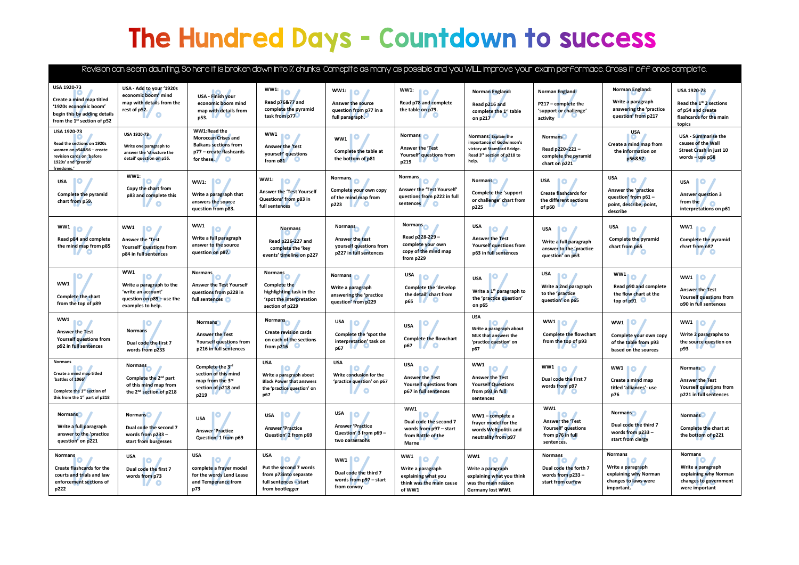## The Hundred Days - Countdown to success

|                                                                                                                                                          |                                                                                                                     |                                                                                                                     |                                                                                                                            |                                                                                                                      |                                                                                                                       |                                                                                                                                                 |                                                                                                 | Revision can seem daunting, So here it is broken down into I% chunks. Comeplte as many as possible and you WILL improve your exam performace. Cross it off once complete. |                                                                                                    |
|----------------------------------------------------------------------------------------------------------------------------------------------------------|---------------------------------------------------------------------------------------------------------------------|---------------------------------------------------------------------------------------------------------------------|----------------------------------------------------------------------------------------------------------------------------|----------------------------------------------------------------------------------------------------------------------|-----------------------------------------------------------------------------------------------------------------------|-------------------------------------------------------------------------------------------------------------------------------------------------|-------------------------------------------------------------------------------------------------|---------------------------------------------------------------------------------------------------------------------------------------------------------------------------|----------------------------------------------------------------------------------------------------|
| USA 1920-73                                                                                                                                              | USA - Add to your '1920s<br>economic boom' mind                                                                     | USA - Finish your                                                                                                   | <b>WW1:</b><br>10                                                                                                          | WW1: 0                                                                                                               | <b>WW1:</b><br><b>O</b>                                                                                               | Norman England:                                                                                                                                 | Norman England:                                                                                 | Norman England:                                                                                                                                                           | <b>USA 1920-73</b>                                                                                 |
| Create a mind map titled<br>'1920s economic boom'<br>begin this by adding details<br>from the $1^{st}$ section of p52                                    | map with details from the<br>rest of p52.<br>$\bullet$                                                              | economic boom mind<br>map with details from<br>p53.                                                                 | Read p76&77 and<br>complete the pyramid<br>task from p77                                                                   | Answer the source<br>question from p77 in a<br>full paragraph.                                                       | Read p78 and complete<br>the table on p79.                                                                            | Read p216 and<br>complete the 1st table<br>on $p217$                                                                                            | P217 - complete the<br>'support or challenge'<br>activity $\blacksquare$                        | Write a paragraph<br>answering the 'practice<br>question' from p217                                                                                                       | Read the 1st 2 sections<br>of p54 and create<br>flashcards for the main<br>topics                  |
| USA 1920-73<br><b>Read the sections on 1920s</b><br>women on p54&56 - create<br>revision cards on 'before<br>1920s' and 'greater<br>freedoms.'           | USA 1920-73<br>Write one paragraph to<br>answer the 'structure the<br>detail' question on p55.                      | WW1:Read the<br><b>Moroccan Crises and</b><br><b>Balkans sections from</b><br>p77 - create flashcards<br>for these. | WW1 10 /<br>Answer the 'test<br>yourself' questions<br>from $p31$                                                          | WW1<br>Complete the table at<br>the bottom of p81                                                                    | <b>Normans</b><br><b>Answer the 'Test</b><br>Yourself' questions from<br>p219                                         | <b>Normans: Explain the</b><br>importance of Godwinson's<br>victory at Stamford Bridge.<br>Read 3rd section of p218 to<br>help.<br>$\mathbf{U}$ | <b>Normans</b><br>Read p220+221-<br>complete the pyramid<br>chart on p221                       | <b>USA</b><br>Create a mind map from<br>the information on<br>p56&57                                                                                                      | <b>USA - Summarise the</b><br>causes of the Wall<br>Street Crash in just 10<br>words $-$ use $p58$ |
| USA <b>O</b><br>Complete the pyramid<br>chart from p59.                                                                                                  | WW1:<br>$\bullet$<br>Copy the chart from<br>p83 and complete this<br><b>O</b>                                       | HO.<br><b>WW1:</b><br>Write a paragraph that<br>answers the source<br>question from p83.                            | <b>WW1:</b><br><b>NO</b><br><b>Answer the 'Test Yourself</b><br>Questions' from p83 in<br>full sentences                   | <b>Normans</b><br>Complete your own copy<br>of the mind map from<br>p223<br>$\mathbb{Z}$<br>$\left( \bullet \right)$ | <b>Normans</b><br>$\bullet$<br><b>Answer the 'Test Yourself'</b><br>questions from p222 in full<br>sentences <b>O</b> | <b>Normans</b><br>Complete the 'support<br>or challenge' chart from<br>p225                                                                     | USA<br>10<br><b>Create flashcards for</b><br>the different sections<br>of p60                   | USA<br>10<br>Answer the 'practice<br>question' from p61 -<br>point, describe, point,<br>describe                                                                          | <b>IO</b><br><b>USA</b><br><b>Answer question 3</b><br>from the<br>interpretations on p61          |
| WW1 <sup>0</sup><br>Read p84 and complete<br>the mind map from p85                                                                                       | WW1<br>10<br><b>Answer the 'Test</b><br>Yourself' questions from<br>p84 in full sentences                           | WW1<br><b>10</b><br>Write a full paragraph<br>answer to the source<br>question on p87.                              | <b>Normans</b><br>Read p226-227 and<br>complete the 'key<br>events' timeline on p227                                       | <b>Normans</b><br>Answer the test<br>yourself questions from<br>p227 in full sentences                               | <b>Normans</b><br>Read p228-229 -<br>complete your own<br>copy of the mind map<br>from p229                           | <b>USA</b><br>10<br><b>Answer the Test</b><br>Yourself questions from<br>p63 in full sentences                                                  | USA<br>HO.<br>Write a full paragraph<br>answer to the 'practice<br>auestion' on p63             | <b>USA</b><br>Ю<br><b>Complete the pyramid</b><br>chart from p65                                                                                                          | WW1 <sup>0</sup><br>Complete the pyramid<br>chart from n87<br>- O<br>$\mathcal{L}$                 |
| WW1<br>Complete the chart<br>from the top of p89                                                                                                         | WW1<br>Ю<br>Write a paragraph to the<br>'write an account'<br>question on $p89 -$ use the<br>examples to help.      | <b>Normans</b><br><b>Answer the Test Yourself</b><br>questions from p228 in<br>full sentences o                     | <b>Normans</b><br>Complete the<br>highlighting task in the<br>'spot the interpretation<br>section of p229                  | Normans <sup>1</sup><br>Write a paragraph<br>answering the 'practice<br>question' from p229                          | USA<br>10<br><b>Complete the 'develop</b><br>the detail' chart from<br>p65                                            | 10<br><b>USA</b><br>Write a 1 <sup>st</sup> paragraph to<br>the 'practice question'<br>on p65                                                   | USA<br>10<br>Write a 2nd paragraph<br>to the 'practice<br>question' on p65                      | WW1 <sup>1</sup><br>Read p90 and complete<br>the flow chart at the<br>top of $p91$                                                                                        | <b>WW1</b> 10<br><b>Answer the Test</b><br>Yourself questions from<br><b>p90</b> in full sentences |
| WW1<br>IO.<br><b>Answer the Test</b><br>Yourself questions from<br>p92 in full sentences                                                                 | <b>Normans</b><br>Dual code the first 7<br>words from p233                                                          | <b>Normans</b><br>Answer the Test<br>Yourself questions from<br>p216 in full sentences                              | <b>Normans</b><br><b>Create revision cards</b><br>on each of the sections<br>from $p216$                                   | USA <b>O</b><br>Complete the 'spot the<br>interpretation' task on<br>p67                                             | $\bullet$<br><b>USA</b><br><b>Complete the flowchart</b><br>$\bullet$<br>p67                                          | USA<br>HO.<br>Write a paragraph about<br><b>MLK that answers the</b><br>'practice question' on<br>p67                                           | <b>WW110</b><br><b>Complete the flowchart</b><br>from the top of p93                            | $WW1$ $^{\circ}$<br>Complete your own copy<br>of the table from p93<br>based on the sources                                                                               | <b>WW1</b> 10<br>Write 2 paragraphs to<br>the source question on<br>p93                            |
| <b>Normans</b><br>Create a mind map titled<br>'battles of 1066'<br>Complete the 1 <sup>st</sup> section of<br>this from the 1 <sup>st</sup> part of p218 | <b>Normans</b><br>Complete the 2 <sup>nd</sup> part<br>of this mind map from<br>the 2 <sup>nd</sup> section of p218 | Complete the 3rd<br>section of this mind<br>map from the 3rd<br>section of p218 and<br>p219                         | <b>USA</b><br>$\bullet$<br>Write a paragraph about<br><b>Black Power that answers</b><br>the 'practice question' on<br>p67 | <b>USA</b><br>$\bullet$<br>Write conclusion for the<br>'practice question' on p67<br>$\bullet$                       | <b>USA</b><br>$\bullet$<br>Answer the Test<br><b>Yourself questions from</b><br>p67 in full sentences                 | WW1<br>$\bullet$<br><b>Answer the Test</b><br><b>Yourself Questions</b><br>from p93 in full<br>sentences                                        | <b>WW1</b> 0<br>Dual code the first 7<br>words from p97                                         | WW1<br>Create a mind map<br>titled 'alliances'- use<br>p76                                                                                                                | <b>Normans</b><br><b>Answer the Test</b><br>Yourself questions from<br>p221 in full sentences      |
| <b>Normans</b><br>Write a full paragraph<br>answer to the 'practice<br>question' on p221                                                                 | <b>Normans</b><br>Dual code the second 7<br>words from p233 -<br>start from burgesses                               | <b>USA</b><br><b>Answer 'Practice</b><br>Question' 1 from p69                                                       | $\bullet$<br><b>USA</b><br>Answer 'Practice<br>Question' 2 from p69                                                        | USA<br><b>IO</b><br><b>Answer 'Practice</b><br>Question' 3 from p69 -<br>two paragraphs                              | WW1<br>$\bullet$<br>Dual code the second 7<br>words from p97 - start<br>from Battle of the<br>Marne                   | WW1 - complete a<br>frayer model for the<br>words Weltpolitik and<br>neutrality from p97                                                        | WW1<br>$\bullet$<br>Answer the 'Test<br>Yourself' questions<br>from p76 in full<br>sentences.   | <b>Normans</b><br>Dual code the third 7<br>words from $p233 -$<br>start from clergy                                                                                       | <b>Normans</b><br>Complete the chart at<br>the bottom of p221                                      |
| <b>Normans</b><br>Create flashcards for the<br>courts and trials and law<br>enforcement sections of<br>p222                                              | USA<br>Ю<br>Dual code the first 7<br>words from p73<br>$\overline{v}$                                               | <b>USA</b><br>complete a frayer model<br>for the words Lend Lease<br>and Temperance from<br>p73                     | <b>USA</b><br>$\bullet$<br>Put the second 7 words<br>from p73into separate<br>full sentences - start<br>from bootlegger    | $WW1$ $^{\circ}$<br>Dual code the third 7<br>words from p97 - start<br>from convoy                                   | WW1<br>$\bullet$<br>Write a paragraph<br>explaining what you<br>think was the main cause<br>of WW1                    | WW1<br>$\bullet$<br>Write a paragraph<br>explaining what you think<br>was the main reason<br><b>Germany lost WW1</b>                            | <b>Normans</b><br>Dual code the forth 7<br>words from p233 -<br>start fr <mark>om</mark> curfew | <b>Normans</b><br>Write a paragraph<br>explaining why Norman<br>changes to laws were<br>important.                                                                        | Normans<br>Write a paragraph<br>explaining why Norman<br>changes to government<br>were important   |